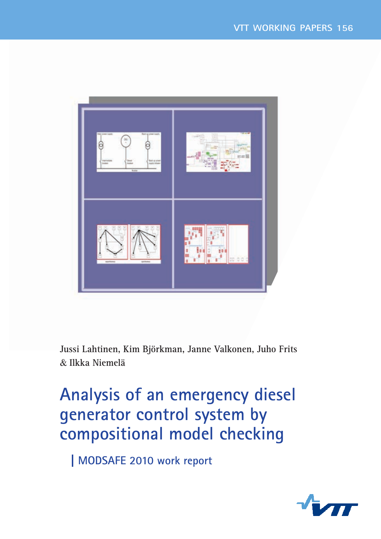

**Jussi Lahtinen, Kim Björkman, Janne Valkonen, Juho Frits**  & **Ilkka Niemelä**

# **Analysis of an emergency diesel** generator control system by **compositional model checking**

**MODSAFE 2010 work report** 

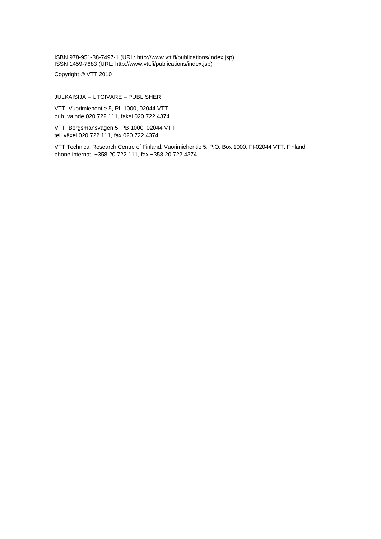ISBN 978-951-38-7497-1 (URL: [http://www.vtt.fi/publications/index.jsp\)](http://www.vtt.fi/publications/index.jsp)  ISSN 1459-7683 (URL: [http://www.vtt.fi/publications/index.jsp\)](http://www.vtt.fi/publications/index.jsp) 

Copyright © VTT 2010

JULKAISIJA – UTGIVARE – PUBLISHER

VTT, Vuorimiehentie 5, PL 1000, 02044 VTT puh. vaihde 020 722 111, faksi 020 722 4374

VTT, Bergsmansvägen 5, PB 1000, 02044 VTT tel. växel 020 722 111, fax 020 722 4374

VTT Technical Research Centre of Finland, Vuorimiehentie 5, P.O. Box 1000, FI-02044 VTT, Finland phone internat. +358 20 722 111, fax +358 20 722 4374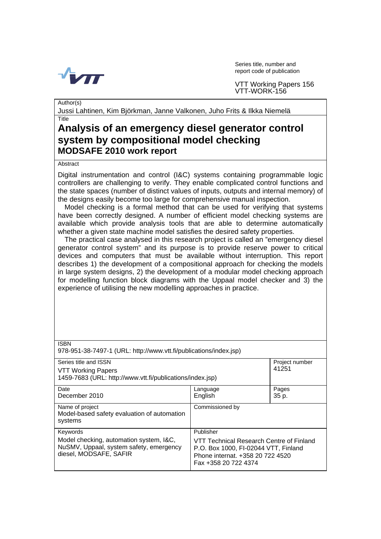

Series title, number and report code of publication

VTT Working Papers 156 VTT-WORK-156

Author(s)

Jussi Lahtinen, Kim Björkman, Janne Valkonen, Juho Frits & Ilkka Niemelä

#### Title

### **Analysis of an emergency diesel generator control system by compositional model checking MODSAFE 2010 work report**

#### **Abstract**

Digital instrumentation and control (I&C) systems containing programmable logic controllers are challenging to verify. They enable complicated control functions and the state spaces (number of distinct values of inputs, outputs and internal memory) of the designs easily become too large for comprehensive manual inspection.

Model checking is a formal method that can be used for verifying that systems have been correctly designed. A number of efficient model checking systems are available which provide analysis tools that are able to determine automatically whether a given state machine model satisfies the desired safety properties.

The practical case analysed in this research project is called an "emergency diesel generator control system" and its purpose is to provide reserve power to critical devices and computers that must be available without interruption. This report describes 1) the development of a compositional approach for checking the models in large system designs, 2) the development of a modular model checking approach for modelling function block diagrams with the Uppaal model checker and 3) the experience of utilising the new modelling approaches in practice.

| <b>ISBN</b><br>978-951-38-7497-1 (URL: http://www.vtt.fi/publications/index.jsp)                             |                                                                                                                                              |                         |  |  |
|--------------------------------------------------------------------------------------------------------------|----------------------------------------------------------------------------------------------------------------------------------------------|-------------------------|--|--|
| Series title and ISSN<br>VTT Working Papers<br>1459-7683 (URL: http://www.vtt.fi/publications/index.jsp)     |                                                                                                                                              | Project number<br>41251 |  |  |
|                                                                                                              |                                                                                                                                              |                         |  |  |
| Date<br>December 2010                                                                                        | Language<br>English                                                                                                                          | Pages<br>35 p.          |  |  |
| Name of project<br>Model-based safety evaluation of automation<br>systems                                    | Commissioned by                                                                                                                              |                         |  |  |
| Keywords                                                                                                     | Publisher                                                                                                                                    |                         |  |  |
| Model checking, automation system, I&C,<br>NuSMV, Uppaal, system safety, emergency<br>diesel, MODSAFE, SAFIR | VTT Technical Research Centre of Finland<br>P.O. Box 1000, FI-02044 VTT, Finland<br>Phone internat. +358 20 722 4520<br>Fax +358 20 722 4374 |                         |  |  |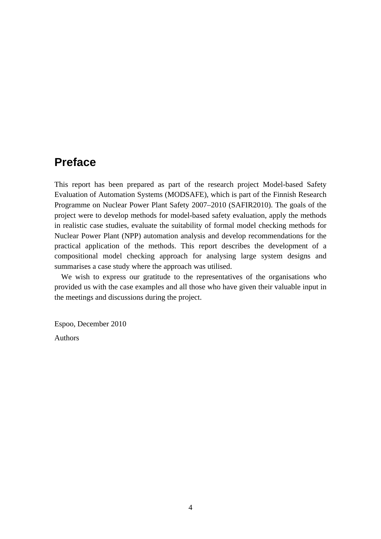# **Preface**

This report has been prepared as part of the research project Model-based Safety Evaluation of Automation Systems (MODSAFE), which is part of the Finnish Research Programme on Nuclear Power Plant Safety 2007–2010 (SAFIR2010). The goals of the project were to develop methods for model-based safety evaluation, apply the methods in realistic case studies, evaluate the suitability of formal model checking methods for Nuclear Power Plant (NPP) automation analysis and develop recommendations for the practical application of the methods. This report describes the development of a compositional model checking approach for analysing large system designs and summarises a case study where the approach was utilised.

We wish to express our gratitude to the representatives of the organisations who provided us with the case examples and all those who have given their valuable input in the meetings and discussions during the project.

Espoo, December 2010

Authors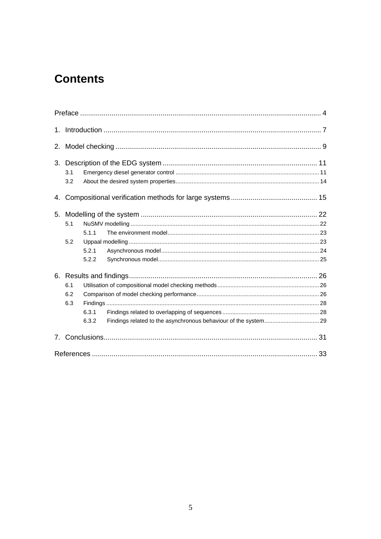# **Contents**

| 1.                             |     |       |  |  |  |
|--------------------------------|-----|-------|--|--|--|
| 2.                             |     |       |  |  |  |
|                                |     |       |  |  |  |
|                                | 3.1 |       |  |  |  |
| 3.2                            |     |       |  |  |  |
| 4.                             |     |       |  |  |  |
| 5.                             |     |       |  |  |  |
|                                | 5.1 |       |  |  |  |
|                                |     | 5.1.1 |  |  |  |
|                                | 5.2 |       |  |  |  |
|                                |     | 5.2.1 |  |  |  |
|                                |     | 5.2.2 |  |  |  |
|                                |     |       |  |  |  |
|                                | 6.1 |       |  |  |  |
|                                | 6.2 |       |  |  |  |
|                                | 6.3 |       |  |  |  |
|                                |     | 6.3.1 |  |  |  |
|                                |     | 6.3.2 |  |  |  |
| $7_{\scriptscriptstyle{\sim}}$ |     |       |  |  |  |
|                                |     |       |  |  |  |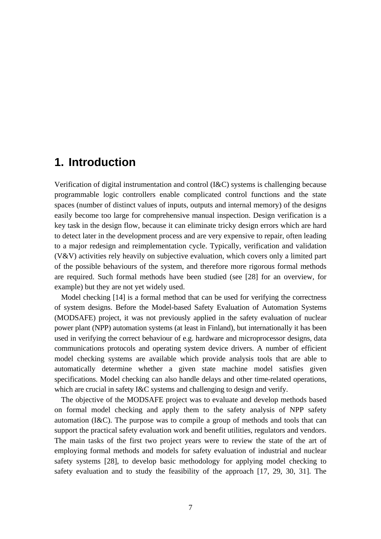### **1. Introduction**

Verification of digital instrumentation and control (I&C) systems is challenging because programmable logic controllers enable complicated control functions and the state spaces (number of distinct values of inputs, outputs and internal memory) of the designs easily become too large for comprehensive manual inspection. Design verification is a key task in the design flow, because it can eliminate tricky design errors which are hard to detect later in the development process and are very expensive to repair, often leading to a major redesign and reimplementation cycle. Typically, verification and validation (V&V) activities rely heavily on subjective evaluation, which covers only a limited part of the possible behaviours of the system, and therefore more rigorous formal methods are required. Such formal methods have been studied (see [28] for an overview, for example) but they are not yet widely used.

Model checking [14] is a formal method that can be used for verifying the correctness of system designs. Before the Model-based Safety Evaluation of Automation Systems (MODSAFE) project, it was not previously applied in the safety evaluation of nuclear power plant (NPP) automation systems (at least in Finland), but internationally it has been used in verifying the correct behaviour of e.g. hardware and microprocessor designs, data communications protocols and operating system device drivers. A number of efficient model checking systems are available which provide analysis tools that are able to automatically determine whether a given state machine model satisfies given specifications. Model checking can also handle delays and other time-related operations, which are crucial in safety I&C systems and challenging to design and verify.

The objective of the MODSAFE project was to evaluate and develop methods based on formal model checking and apply them to the safety analysis of NPP safety automation (I&C). The purpose was to compile a group of methods and tools that can support the practical safety evaluation work and benefit utilities, regulators and vendors. The main tasks of the first two project years were to review the state of the art of employing formal methods and models for safety evaluation of industrial and nuclear safety systems [28], to develop basic methodology for applying model checking to safety evaluation and to study the feasibility of the approach [17, 29, 30, 31]. The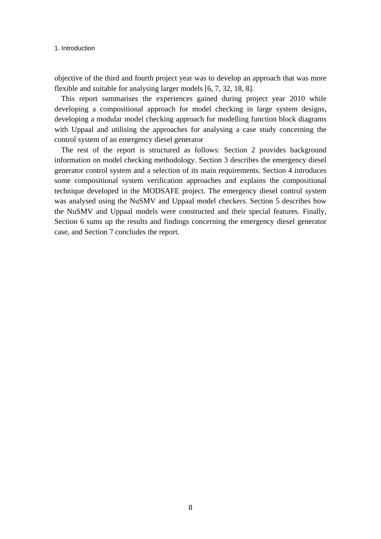#### 1. Introduction

objective of the third and fourth project year was to develop an approach that was more flexible and suitable for analysing larger models [6, 7, 32, 18, 8].

This report summarises the experiences gained during project year 2010 while developing a compositional approach for model checking in large system designs, developing a modular model checking approach for modelling function block diagrams with Uppaal and utilising the approaches for analysing a case study concerning the control system of an emergency diesel generator

The rest of the report is structured as follows: Section 2 provides background information on model checking methodology. Section 3 describes the emergency diesel generator control system and a selection of its main requirements. Section 4 introduces some compositional system verification approaches and explains the compositional technique developed in the MODSAFE project. The emergency diesel control system was analysed using the NuSMV and Uppaal model checkers. Section 5 describes how the NuSMV and Uppaal models were constructed and their special features. Finally, Section 6 sums up the results and findings concerning the emergency diesel generator case, and Section 7 concludes the report.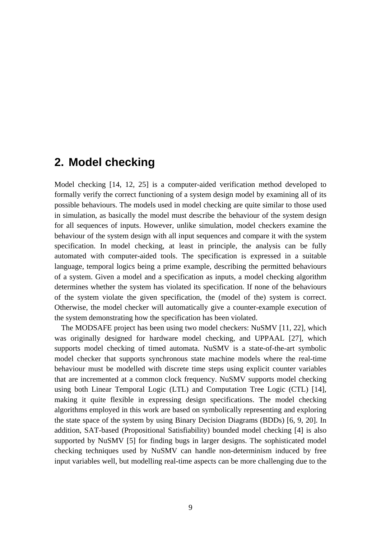# **2. Model checking**

Model checking [14, 12, 25] is a computer-aided verification method developed to formally verify the correct functioning of a system design model by examining all of its possible behaviours. The models used in model checking are quite similar to those used in simulation, as basically the model must describe the behaviour of the system design for all sequences of inputs. However, unlike simulation, model checkers examine the behaviour of the system design with all input sequences and compare it with the system specification. In model checking, at least in principle, the analysis can be fully automated with computer-aided tools. The specification is expressed in a suitable language, temporal logics being a prime example, describing the permitted behaviours of a system. Given a model and a specification as inputs, a model checking algorithm determines whether the system has violated its specification. If none of the behaviours of the system violate the given specification, the (model of the) system is correct. Otherwise, the model checker will automatically give a counter-example execution of the system demonstrating how the specification has been violated.

The MODSAFE project has been using two model checkers: NuSMV [11, 22], which was originally designed for hardware model checking, and UPPAAL [27], which supports model checking of timed automata. NuSMV is a state-of-the-art symbolic model checker that supports synchronous state machine models where the real-time behaviour must be modelled with discrete time steps using explicit counter variables that are incremented at a common clock frequency. NuSMV supports model checking using both Linear Temporal Logic (LTL) and Computation Tree Logic (CTL) [14], making it quite flexible in expressing design specifications. The model checking algorithms employed in this work are based on symbolically representing and exploring the state space of the system by using Binary Decision Diagrams (BDDs) [6, 9, 20]. In addition, SAT-based (Propositional Satisfiability) bounded model checking [4] is also supported by NuSMV [5] for finding bugs in larger designs. The sophisticated model checking techniques used by NuSMV can handle non-determinism induced by free input variables well, but modelling real-time aspects can be more challenging due to the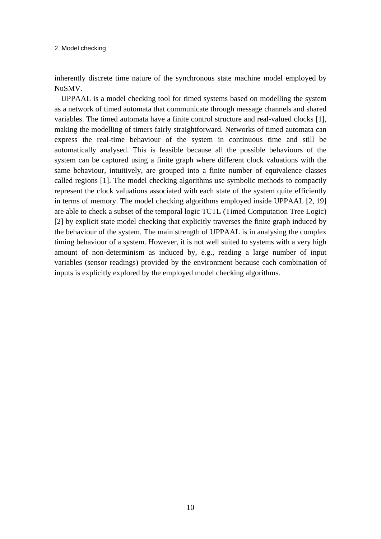#### 2. Model checking

inherently discrete time nature of the synchronous state machine model employed by NuSMV.

UPPAAL is a model checking tool for timed systems based on modelling the system as a network of timed automata that communicate through message channels and shared variables. The timed automata have a finite control structure and real-valued clocks [1], making the modelling of timers fairly straightforward. Networks of timed automata can express the real-time behaviour of the system in continuous time and still be automatically analysed. This is feasible because all the possible behaviours of the system can be captured using a finite graph where different clock valuations with the same behaviour, intuitively, are grouped into a finite number of equivalence classes called regions [1]. The model checking algorithms use symbolic methods to compactly represent the clock valuations associated with each state of the system quite efficiently in terms of memory. The model checking algorithms employed inside UPPAAL [2, 19] are able to check a subset of the temporal logic TCTL (Timed Computation Tree Logic) [2] by explicit state model checking that explicitly traverses the finite graph induced by the behaviour of the system. The main strength of UPPAAL is in analysing the complex timing behaviour of a system. However, it is not well suited to systems with a very high amount of non-determinism as induced by, e.g., reading a large number of input variables (sensor readings) provided by the environment because each combination of inputs is explicitly explored by the employed model checking algorithms.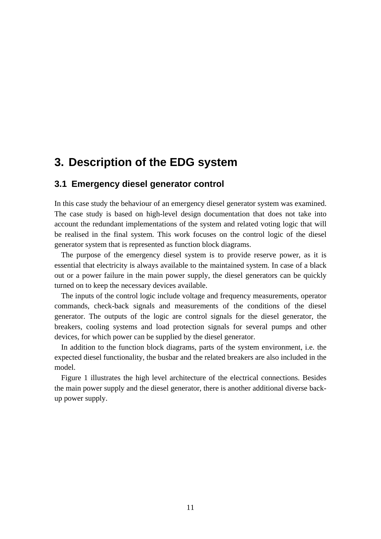# **3. Description of the EDG system**

### **3.1 Emergency diesel generator control**

In this case study the behaviour of an emergency diesel generator system was examined. The case study is based on high-level design documentation that does not take into account the redundant implementations of the system and related voting logic that will be realised in the final system. This work focuses on the control logic of the diesel generator system that is represented as function block diagrams.

The purpose of the emergency diesel system is to provide reserve power, as it is essential that electricity is always available to the maintained system. In case of a black out or a power failure in the main power supply, the diesel generators can be quickly turned on to keep the necessary devices available.

The inputs of the control logic include voltage and frequency measurements, operator commands, check-back signals and measurements of the conditions of the diesel generator. The outputs of the logic are control signals for the diesel generator, the breakers, cooling systems and load protection signals for several pumps and other devices, for which power can be supplied by the diesel generator.

In addition to the function block diagrams, parts of the system environment, i.e. the expected diesel functionality, the busbar and the related breakers are also included in the model.

Figure 1 illustrates the high level architecture of the electrical connections. Besides the main power supply and the diesel generator, there is another additional diverse backup power supply.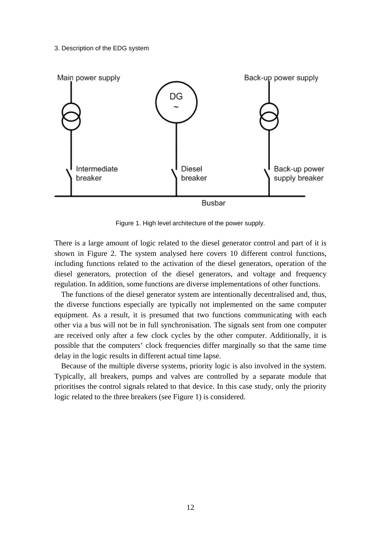#### 3. Description of the EDG system



Figure 1. High level architecture of the power supply.

There is a large amount of logic related to the diesel generator control and part of it is shown in Figure 2. The system analysed here covers 10 different control functions, including functions related to the activation of the diesel generators, operation of the diesel generators, protection of the diesel generators, and voltage and frequency regulation. In addition, some functions are diverse implementations of other functions.

The functions of the diesel generator system are intentionally decentralised and, thus, the diverse functions especially are typically not implemented on the same computer equipment. As a result, it is presumed that two functions communicating with each other via a bus will not be in full synchronisation. The signals sent from one computer are received only after a few clock cycles by the other computer. Additionally, it is possible that the computers' clock frequencies differ marginally so that the same time delay in the logic results in different actual time lapse.

Because of the multiple diverse systems, priority logic is also involved in the system. Typically, all breakers, pumps and valves are controlled by a separate module that prioritises the control signals related to that device. In this case study, only the priority logic related to the three breakers (see Figure 1) is considered.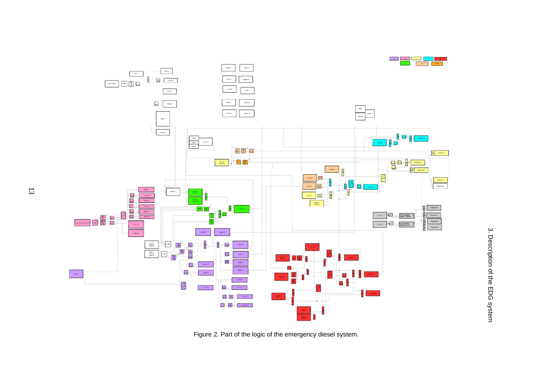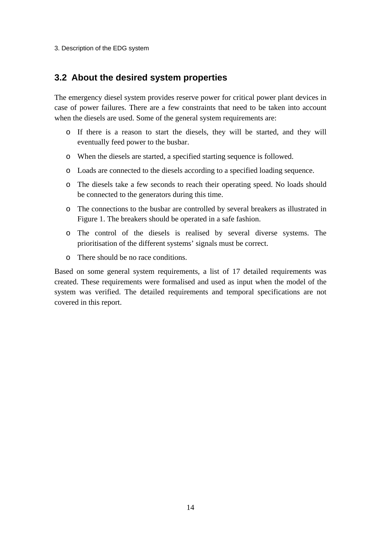#### 3. Description of the EDG system

### **3.2 About the desired system properties**

The emergency diesel system provides reserve power for critical power plant devices in case of power failures. There are a few constraints that need to be taken into account when the diesels are used. Some of the general system requirements are:

- o If there is a reason to start the diesels, they will be started, and they will eventually feed power to the busbar.
- o When the diesels are started, a specified starting sequence is followed.
- o Loads are connected to the diesels according to a specified loading sequence.
- o The diesels take a few seconds to reach their operating speed. No loads should be connected to the generators during this time.
- o The connections to the busbar are controlled by several breakers as illustrated in Figure 1. The breakers should be operated in a safe fashion.
- o The control of the diesels is realised by several diverse systems. The prioritisation of the different systems' signals must be correct.
- o There should be no race conditions.

Based on some general system requirements, a list of 17 detailed requirements was created. These requirements were formalised and used as input when the model of the system was verified. The detailed requirements and temporal specifications are not covered in this report.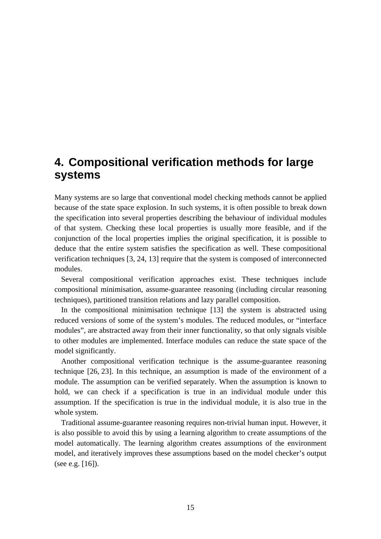# **4. Compositional verification methods for large systems**

Many systems are so large that conventional model checking methods cannot be applied because of the state space explosion. In such systems, it is often possible to break down the specification into several properties describing the behaviour of individual modules of that system. Checking these local properties is usually more feasible, and if the conjunction of the local properties implies the original specification, it is possible to deduce that the entire system satisfies the specification as well. These compositional verification techniques [3, 24, 13] require that the system is composed of interconnected modules.

Several compositional verification approaches exist. These techniques include compositional minimisation, assume-guarantee reasoning (including circular reasoning techniques), partitioned transition relations and lazy parallel composition.

In the compositional minimisation technique [13] the system is abstracted using reduced versions of some of the system's modules. The reduced modules, or "interface modules", are abstracted away from their inner functionality, so that only signals visible to other modules are implemented. Interface modules can reduce the state space of the model significantly.

Another compositional verification technique is the assume-guarantee reasoning technique [26, 23]. In this technique, an assumption is made of the environment of a module. The assumption can be verified separately. When the assumption is known to hold, we can check if a specification is true in an individual module under this assumption. If the specification is true in the individual module, it is also true in the whole system.

Traditional assume-guarantee reasoning requires non-trivial human input. However, it is also possible to avoid this by using a learning algorithm to create assumptions of the model automatically. The learning algorithm creates assumptions of the environment model, and iteratively improves these assumptions based on the model checker's output (see e.g. [16]).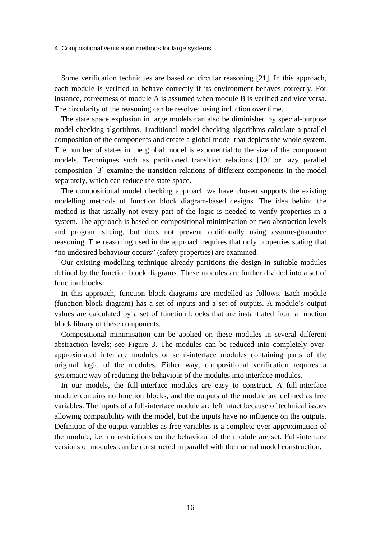4. Compositional verification methods for large systems

Some verification techniques are based on circular reasoning [21]. In this approach, each module is verified to behave correctly if its environment behaves correctly. For instance, correctness of module A is assumed when module B is verified and vice versa. The circularity of the reasoning can be resolved using induction over time.

The state space explosion in large models can also be diminished by special-purpose model checking algorithms. Traditional model checking algorithms calculate a parallel composition of the components and create a global model that depicts the whole system. The number of states in the global model is exponential to the size of the component models. Techniques such as partitioned transition relations [10] or lazy parallel composition [3] examine the transition relations of different components in the model separately, which can reduce the state space.

The compositional model checking approach we have chosen supports the existing modelling methods of function block diagram-based designs. The idea behind the method is that usually not every part of the logic is needed to verify properties in a system. The approach is based on compositional minimisation on two abstraction levels and program slicing, but does not prevent additionally using assume-guarantee reasoning. The reasoning used in the approach requires that only properties stating that "no undesired behaviour occurs" (safety properties) are examined.

Our existing modelling technique already partitions the design in suitable modules defined by the function block diagrams. These modules are further divided into a set of function blocks.

In this approach, function block diagrams are modelled as follows. Each module (function block diagram) has a set of inputs and a set of outputs. A module's output values are calculated by a set of function blocks that are instantiated from a function block library of these components.

Compositional minimisation can be applied on these modules in several different abstraction levels; see Figure 3. The modules can be reduced into completely overapproximated interface modules or semi-interface modules containing parts of the original logic of the modules. Either way, compositional verification requires a systematic way of reducing the behaviour of the modules into interface modules.

In our models, the full-interface modules are easy to construct. A full-interface module contains no function blocks, and the outputs of the module are defined as free variables. The inputs of a full-interface module are left intact because of technical issues allowing compatibility with the model, but the inputs have no influence on the outputs. Definition of the output variables as free variables is a complete over-approximation of the module, i.e. no restrictions on the behaviour of the module are set. Full-interface versions of modules can be constructed in parallel with the normal model construction.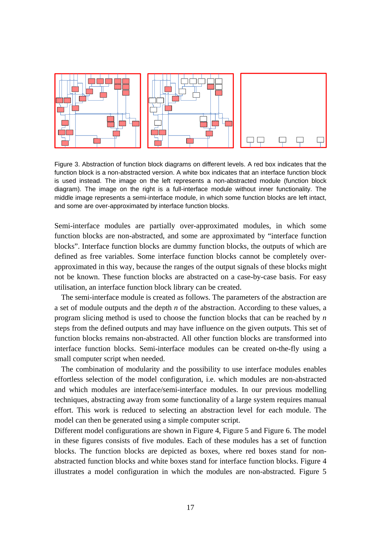

Figure 3. Abstraction of function block diagrams on different levels. A red box indicates that the function block is a non-abstracted version. A white box indicates that an interface function block is used instead. The image on the left represents a non-abstracted module (function block diagram). The image on the right is a full-interface module without inner functionality. The middle image represents a semi-interface module, in which some function blocks are left intact, and some are over-approximated by interface function blocks.

Semi-interface modules are partially over-approximated modules, in which some function blocks are non-abstracted, and some are approximated by "interface function blocks". Interface function blocks are dummy function blocks, the outputs of which are defined as free variables. Some interface function blocks cannot be completely overapproximated in this way, because the ranges of the output signals of these blocks might not be known. These function blocks are abstracted on a case-by-case basis. For easy utilisation, an interface function block library can be created.

The semi-interface module is created as follows. The parameters of the abstraction are a set of module outputs and the depth *n* of the abstraction. According to these values, a program slicing method is used to choose the function blocks that can be reached by *n* steps from the defined outputs and may have influence on the given outputs. This set of function blocks remains non-abstracted. All other function blocks are transformed into interface function blocks. Semi-interface modules can be created on-the-fly using a small computer script when needed.

The combination of modularity and the possibility to use interface modules enables effortless selection of the model configuration, i.e. which modules are non-abstracted and which modules are interface/semi-interface modules. In our previous modelling techniques, abstracting away from some functionality of a large system requires manual effort. This work is reduced to selecting an abstraction level for each module. The model can then be generated using a simple computer script.

Different model configurations are shown in Figure 4, Figure 5 and Figure 6. The model in these figures consists of five modules. Each of these modules has a set of function blocks. The function blocks are depicted as boxes, where red boxes stand for nonabstracted function blocks and white boxes stand for interface function blocks. Figure 4 illustrates a model configuration in which the modules are non-abstracted. Figure 5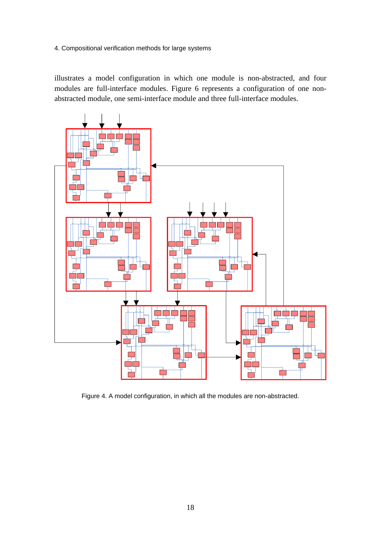4. Compositional verification methods for large systems

illustrates a model configuration in which one module is non-abstracted, and four modules are full-interface modules. Figure 6 represents a configuration of one nonabstracted module, one semi-interface module and three full-interface modules.



Figure 4. A model configuration, in which all the modules are non-abstracted.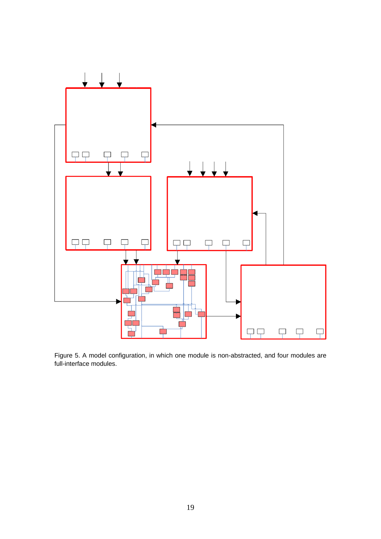

Figure 5. A model configuration, in which one module is non-abstracted, and four modules are full-interface modules.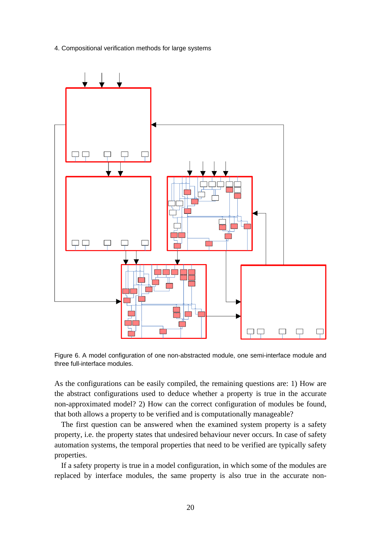4. Compositional verification methods for large systems



Figure 6. A model configuration of one non-abstracted module, one semi-interface module and three full-interface modules.

As the configurations can be easily compiled, the remaining questions are: 1) How are the abstract configurations used to deduce whether a property is true in the accurate non-approximated model? 2) How can the correct configuration of modules be found, that both allows a property to be verified and is computationally manageable?

The first question can be answered when the examined system property is a safety property, i.e. the property states that undesired behaviour never occurs. In case of safety automation systems, the temporal properties that need to be verified are typically safety properties.

If a safety property is true in a model configuration, in which some of the modules are replaced by interface modules, the same property is also true in the accurate non-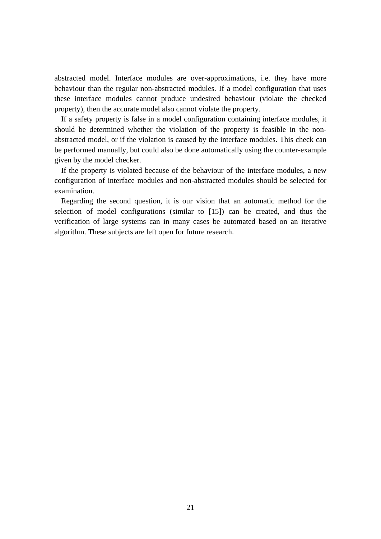abstracted model. Interface modules are over-approximations, i.e. they have more behaviour than the regular non-abstracted modules. If a model configuration that uses these interface modules cannot produce undesired behaviour (violate the checked property), then the accurate model also cannot violate the property.

If a safety property is false in a model configuration containing interface modules, it should be determined whether the violation of the property is feasible in the nonabstracted model, or if the violation is caused by the interface modules. This check can be performed manually, but could also be done automatically using the counter-example given by the model checker.

If the property is violated because of the behaviour of the interface modules, a new configuration of interface modules and non-abstracted modules should be selected for examination.

Regarding the second question, it is our vision that an automatic method for the selection of model configurations (similar to [15]) can be created, and thus the verification of large systems can in many cases be automated based on an iterative algorithm. These subjects are left open for future research.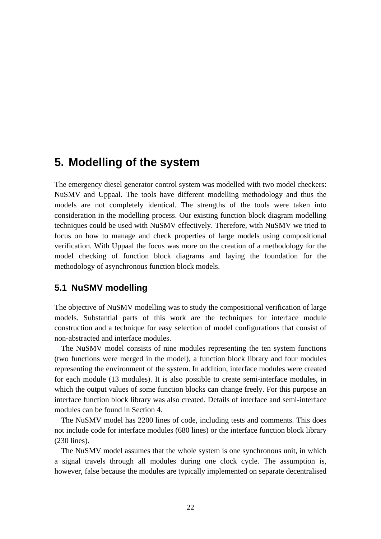# **5. Modelling of the system**

The emergency diesel generator control system was modelled with two model checkers: NuSMV and Uppaal. The tools have different modelling methodology and thus the models are not completely identical. The strengths of the tools were taken into consideration in the modelling process. Our existing function block diagram modelling techniques could be used with NuSMV effectively. Therefore, with NuSMV we tried to focus on how to manage and check properties of large models using compositional verification. With Uppaal the focus was more on the creation of a methodology for the model checking of function block diagrams and laying the foundation for the methodology of asynchronous function block models.

### **5.1 NuSMV modelling**

The objective of NuSMV modelling was to study the compositional verification of large models. Substantial parts of this work are the techniques for interface module construction and a technique for easy selection of model configurations that consist of non-abstracted and interface modules.

The NuSMV model consists of nine modules representing the ten system functions (two functions were merged in the model), a function block library and four modules representing the environment of the system. In addition, interface modules were created for each module (13 modules). It is also possible to create semi-interface modules, in which the output values of some function blocks can change freely. For this purpose an interface function block library was also created. Details of interface and semi-interface modules can be found in Section 4.

The NuSMV model has 2200 lines of code, including tests and comments. This does not include code for interface modules (680 lines) or the interface function block library (230 lines).

The NuSMV model assumes that the whole system is one synchronous unit, in which a signal travels through all modules during one clock cycle. The assumption is, however, false because the modules are typically implemented on separate decentralised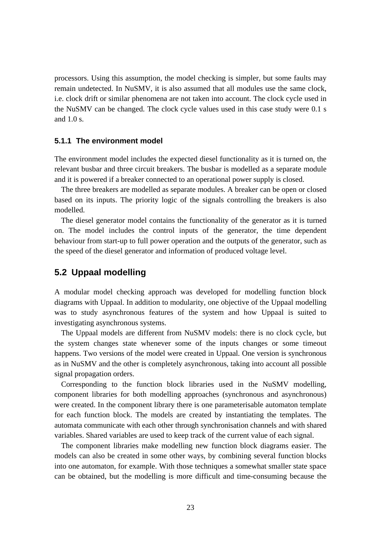processors. Using this assumption, the model checking is simpler, but some faults may remain undetected. In NuSMV, it is also assumed that all modules use the same clock, i.e. clock drift or similar phenomena are not taken into account. The clock cycle used in the NuSMV can be changed. The clock cycle values used in this case study were 0.1 s and 1.0 s.

#### **5.1.1 The environment model**

The environment model includes the expected diesel functionality as it is turned on, the relevant busbar and three circuit breakers. The busbar is modelled as a separate module and it is powered if a breaker connected to an operational power supply is closed.

The three breakers are modelled as separate modules. A breaker can be open or closed based on its inputs. The priority logic of the signals controlling the breakers is also modelled.

The diesel generator model contains the functionality of the generator as it is turned on. The model includes the control inputs of the generator, the time dependent behaviour from start-up to full power operation and the outputs of the generator, such as the speed of the diesel generator and information of produced voltage level.

### **5.2 Uppaal modelling**

A modular model checking approach was developed for modelling function block diagrams with Uppaal. In addition to modularity, one objective of the Uppaal modelling was to study asynchronous features of the system and how Uppaal is suited to investigating asynchronous systems.

The Uppaal models are different from NuSMV models: there is no clock cycle, but the system changes state whenever some of the inputs changes or some timeout happens. Two versions of the model were created in Uppaal. One version is synchronous as in NuSMV and the other is completely asynchronous, taking into account all possible signal propagation orders.

Corresponding to the function block libraries used in the NuSMV modelling, component libraries for both modelling approaches (synchronous and asynchronous) were created. In the component library there is one parameterisable automaton template for each function block. The models are created by instantiating the templates. The automata communicate with each other through synchronisation channels and with shared variables. Shared variables are used to keep track of the current value of each signal.

The component libraries make modelling new function block diagrams easier. The models can also be created in some other ways, by combining several function blocks into one automaton, for example. With those techniques a somewhat smaller state space can be obtained, but the modelling is more difficult and time-consuming because the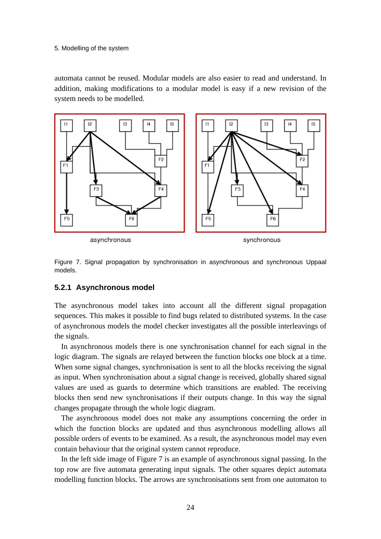#### 5. Modelling of the system

automata cannot be reused. Modular models are also easier to read and understand. In addition, making modifications to a modular model is easy if a new revision of the system needs to be modelled.



Figure 7. Signal propagation by synchronisation in asynchronous and synchronous Uppaal models.

#### **5.2.1 Asynchronous model**

The asynchronous model takes into account all the different signal propagation sequences. This makes it possible to find bugs related to distributed systems. In the case of asynchronous models the model checker investigates all the possible interleavings of the signals.

In asynchronous models there is one synchronisation channel for each signal in the logic diagram. The signals are relayed between the function blocks one block at a time. When some signal changes, synchronisation is sent to all the blocks receiving the signal as input. When synchronisation about a signal change is received, globally shared signal values are used as guards to determine which transitions are enabled. The receiving blocks then send new synchronisations if their outputs change. In this way the signal changes propagate through the whole logic diagram.

The asynchronous model does not make any assumptions concerning the order in which the function blocks are updated and thus asynchronous modelling allows all possible orders of events to be examined. As a result, the asynchronous model may even contain behaviour that the original system cannot reproduce.

In the left side image of Figure 7 is an example of asynchronous signal passing. In the top row are five automata generating input signals. The other squares depict automata modelling function blocks. The arrows are synchronisations sent from one automaton to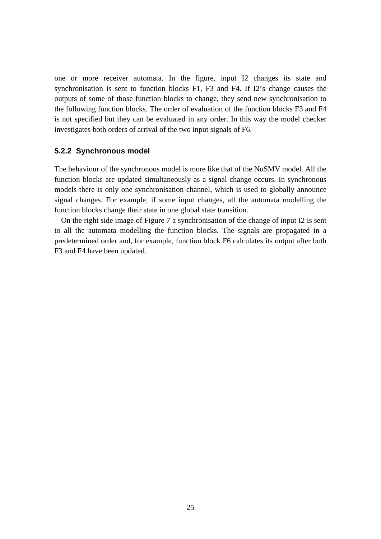one or more receiver automata. In the figure, input I2 changes its state and synchronisation is sent to function blocks F1, F3 and F4. If I2's change causes the outputs of some of those function blocks to change, they send new synchronisation to the following function blocks. The order of evaluation of the function blocks F3 and F4 is not specified but they can be evaluated in any order. In this way the model checker investigates both orders of arrival of the two input signals of F6.

#### **5.2.2 Synchronous model**

The behaviour of the synchronous model is more like that of the NuSMV model. All the function blocks are updated simultaneously as a signal change occurs. In synchronous models there is only one synchronisation channel, which is used to globally announce signal changes. For example, if some input changes, all the automata modelling the function blocks change their state in one global state transition.

On the right side image of Figure 7 a synchronisation of the change of input I2 is sent to all the automata modelling the function blocks. The signals are propagated in a predetermined order and, for example, function block F6 calculates its output after both F3 and F4 have been updated.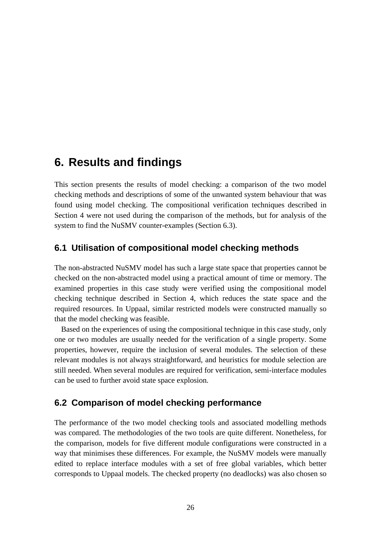# **6. Results and findings**

This section presents the results of model checking: a comparison of the two model checking methods and descriptions of some of the unwanted system behaviour that was found using model checking. The compositional verification techniques described in Section 4 were not used during the comparison of the methods, but for analysis of the system to find the NuSMV counter-examples (Section 6.3).

### **6.1 Utilisation of compositional model checking methods**

The non-abstracted NuSMV model has such a large state space that properties cannot be checked on the non-abstracted model using a practical amount of time or memory. The examined properties in this case study were verified using the compositional model checking technique described in Section 4, which reduces the state space and the required resources. In Uppaal, similar restricted models were constructed manually so that the model checking was feasible.

Based on the experiences of using the compositional technique in this case study, only one or two modules are usually needed for the verification of a single property. Some properties, however, require the inclusion of several modules. The selection of these relevant modules is not always straightforward, and heuristics for module selection are still needed. When several modules are required for verification, semi-interface modules can be used to further avoid state space explosion.

### **6.2 Comparison of model checking performance**

The performance of the two model checking tools and associated modelling methods was compared. The methodologies of the two tools are quite different. Nonetheless, for the comparison, models for five different module configurations were constructed in a way that minimises these differences. For example, the NuSMV models were manually edited to replace interface modules with a set of free global variables, which better corresponds to Uppaal models. The checked property (no deadlocks) was also chosen so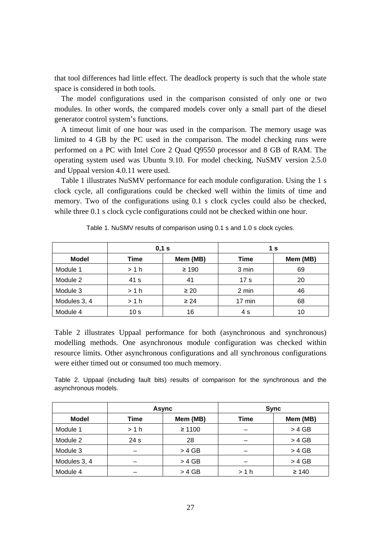that tool differences had little effect. The deadlock property is such that the whole state space is considered in both tools.

The model configurations used in the comparison consisted of only one or two modules. In other words, the compared models cover only a small part of the diesel generator control system's functions.

A timeout limit of one hour was used in the comparison. The memory usage was limited to 4 GB by the PC used in the comparison. The model checking runs were performed on a PC with Intel Core 2 Quad Q9550 processor and 8 GB of RAM. The operating system used was Ubuntu 9.10. For model checking, NuSMV version 2.5.0 and Uppaal version 4.0.11 were used.

Table 1 illustrates NuSMV performance for each module configuration. Using the 1 s clock cycle, all configurations could be checked well within the limits of time and memory. Two of the configurations using 0.1 s clock cycles could also be checked, while three 0.1 s clock cycle configurations could not be checked within one hour.

|              | 0,1 s           |            | 1 s             |          |
|--------------|-----------------|------------|-----------------|----------|
| <b>Model</b> | Time            | Mem (MB)   | Time            | Mem (MB) |
| Module 1     | >1 h            | $\geq 190$ | 3 min           | 69       |
| Module 2     | 41 s            | 41         | 17 <sub>s</sub> | 20       |
| Module 3     | >1 h            | $\geq 20$  | 2 min           | 46       |
| Modules 3, 4 | >1 h            | $\geq 24$  | 17 min          | 68       |
| Module 4     | 10 <sub>s</sub> | 16         | 4 s             | 10       |

| Table 1. NuSMV results of comparison using 0.1 s and 1.0 s clock cycles. |  |  |  |  |  |
|--------------------------------------------------------------------------|--|--|--|--|--|
|--------------------------------------------------------------------------|--|--|--|--|--|

Table 2 illustrates Uppaal performance for both (asynchronous and synchronous) modelling methods. One asynchronous module configuration was checked within resource limits. Other asynchronous configurations and all synchronous configurations were either timed out or consumed too much memory.

Table 2. Uppaal (including fault bits) results of comparison for the synchronous and the asynchronous models.

|              | <b>Async</b> |             | <b>Sync</b> |            |
|--------------|--------------|-------------|-------------|------------|
| <b>Model</b> | Time         | Mem (MB)    | <b>Time</b> | Mem (MB)   |
| Module 1     | >1 h         | $\geq 1100$ |             | $> 4$ GB   |
| Module 2     | 24 s         | 28          |             | $> 4$ GB   |
| Module 3     |              | $> 4$ GB    |             | $> 4$ GB   |
| Modules 3, 4 |              | $> 4$ GB    |             | $> 4$ GB   |
| Module 4     |              | $> 4$ GB    | >1 h        | $\geq 140$ |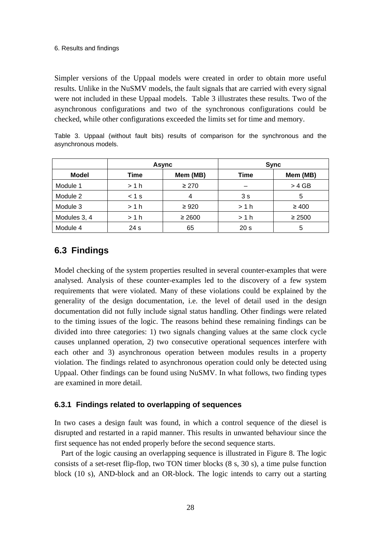Simpler versions of the Uppaal models were created in order to obtain more useful results. Unlike in the NuSMV models, the fault signals that are carried with every signal were not included in these Uppaal models. Table 3 illustrates these results. Two of the asynchronous configurations and two of the synchronous configurations could be checked, while other configurations exceeded the limits set for time and memory.

Table 3. Uppaal (without fault bits) results of comparison for the synchronous and the asynchronous models.

|              | <b>Async</b>    |             | <b>Sync</b>     |             |
|--------------|-----------------|-------------|-----------------|-------------|
| <b>Model</b> | Time            | Mem (MB)    | Time            | Mem (MB)    |
| Module 1     | > 1 h           | $\geq 270$  |                 | $> 4$ GB    |
| Module 2     | $< 1$ s         |             | 3s              | 5           |
| Module 3     | >1 h            | $\geq 920$  | >1 h            | $\geq 400$  |
| Modules 3, 4 | >1 h            | $\geq 2600$ | >1 h            | $\geq 2500$ |
| Module 4     | 24 <sub>s</sub> | 65          | 20 <sub>s</sub> | 5           |

### **6.3 Findings**

Model checking of the system properties resulted in several counter-examples that were analysed. Analysis of these counter-examples led to the discovery of a few system requirements that were violated. Many of these violations could be explained by the generality of the design documentation, i.e. the level of detail used in the design documentation did not fully include signal status handling. Other findings were related to the timing issues of the logic. The reasons behind these remaining findings can be divided into three categories: 1) two signals changing values at the same clock cycle causes unplanned operation, 2) two consecutive operational sequences interfere with each other and 3) asynchronous operation between modules results in a property violation. The findings related to asynchronous operation could only be detected using Uppaal. Other findings can be found using NuSMV. In what follows, two finding types are examined in more detail.

### **6.3.1 Findings related to overlapping of sequences**

In two cases a design fault was found, in which a control sequence of the diesel is disrupted and restarted in a rapid manner. This results in unwanted behaviour since the first sequence has not ended properly before the second sequence starts.

Part of the logic causing an overlapping sequence is illustrated in Figure 8. The logic consists of a set-reset flip-flop, two TON timer blocks (8 s, 30 s), a time pulse function block (10 s), AND-block and an OR-block. The logic intends to carry out a starting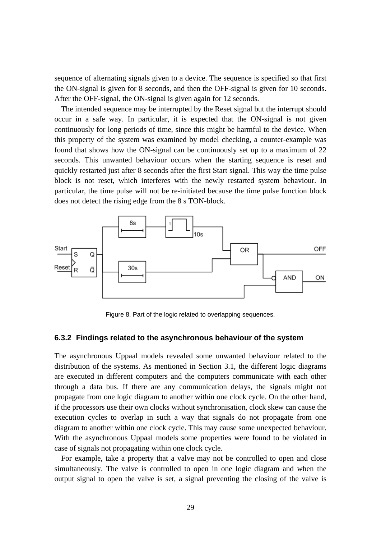sequence of alternating signals given to a device. The sequence is specified so that first the ON-signal is given for 8 seconds, and then the OFF-signal is given for 10 seconds. After the OFF-signal, the ON-signal is given again for 12 seconds.

The intended sequence may be interrupted by the Reset signal but the interrupt should occur in a safe way. In particular, it is expected that the ON-signal is not given continuously for long periods of time, since this might be harmful to the device. When this property of the system was examined by model checking, a counter-example was found that shows how the ON-signal can be continuously set up to a maximum of 22 seconds. This unwanted behaviour occurs when the starting sequence is reset and quickly restarted just after 8 seconds after the first Start signal. This way the time pulse block is not reset, which interferes with the newly restarted system behaviour. In particular, the time pulse will not be re-initiated because the time pulse function block does not detect the rising edge from the 8 s TON-block.



Figure 8. Part of the logic related to overlapping sequences.

#### **6.3.2 Findings related to the asynchronous behaviour of the system**

The asynchronous Uppaal models revealed some unwanted behaviour related to the distribution of the systems. As mentioned in Section 3.1, the different logic diagrams are executed in different computers and the computers communicate with each other through a data bus. If there are any communication delays, the signals might not propagate from one logic diagram to another within one clock cycle. On the other hand, if the processors use their own clocks without synchronisation, clock skew can cause the execution cycles to overlap in such a way that signals do not propagate from one diagram to another within one clock cycle. This may cause some unexpected behaviour. With the asynchronous Uppaal models some properties were found to be violated in case of signals not propagating within one clock cycle.

For example, take a property that a valve may not be controlled to open and close simultaneously. The valve is controlled to open in one logic diagram and when the output signal to open the valve is set, a signal preventing the closing of the valve is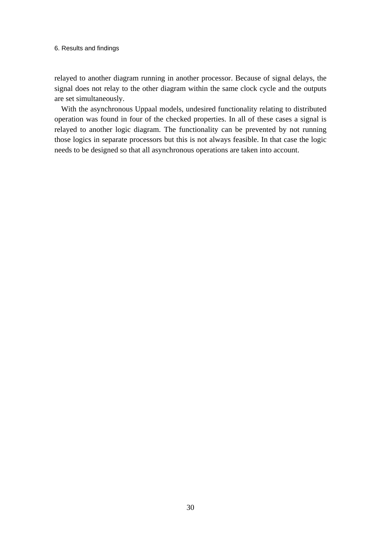#### 6. Results and findings

relayed to another diagram running in another processor. Because of signal delays, the signal does not relay to the other diagram within the same clock cycle and the outputs are set simultaneously.

With the asynchronous Uppaal models, undesired functionality relating to distributed operation was found in four of the checked properties. In all of these cases a signal is relayed to another logic diagram. The functionality can be prevented by not running those logics in separate processors but this is not always feasible. In that case the logic needs to be designed so that all asynchronous operations are taken into account.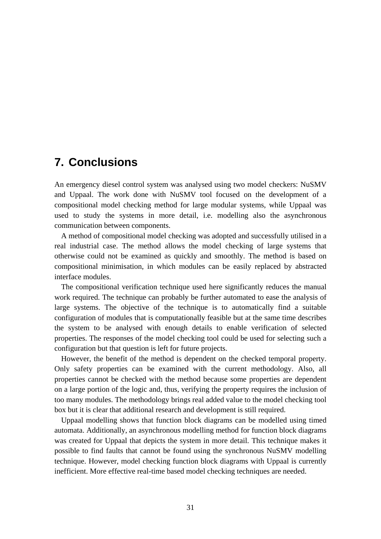# **7. Conclusions**

An emergency diesel control system was analysed using two model checkers: NuSMV and Uppaal. The work done with NuSMV tool focused on the development of a compositional model checking method for large modular systems, while Uppaal was used to study the systems in more detail, i.e. modelling also the asynchronous communication between components.

A method of compositional model checking was adopted and successfully utilised in a real industrial case. The method allows the model checking of large systems that otherwise could not be examined as quickly and smoothly. The method is based on compositional minimisation, in which modules can be easily replaced by abstracted interface modules.

The compositional verification technique used here significantly reduces the manual work required. The technique can probably be further automated to ease the analysis of large systems. The objective of the technique is to automatically find a suitable configuration of modules that is computationally feasible but at the same time describes the system to be analysed with enough details to enable verification of selected properties. The responses of the model checking tool could be used for selecting such a configuration but that question is left for future projects.

However, the benefit of the method is dependent on the checked temporal property. Only safety properties can be examined with the current methodology. Also, all properties cannot be checked with the method because some properties are dependent on a large portion of the logic and, thus, verifying the property requires the inclusion of too many modules. The methodology brings real added value to the model checking tool box but it is clear that additional research and development is still required.

Uppaal modelling shows that function block diagrams can be modelled using timed automata. Additionally, an asynchronous modelling method for function block diagrams was created for Uppaal that depicts the system in more detail. This technique makes it possible to find faults that cannot be found using the synchronous NuSMV modelling technique. However, model checking function block diagrams with Uppaal is currently inefficient. More effective real-time based model checking techniques are needed.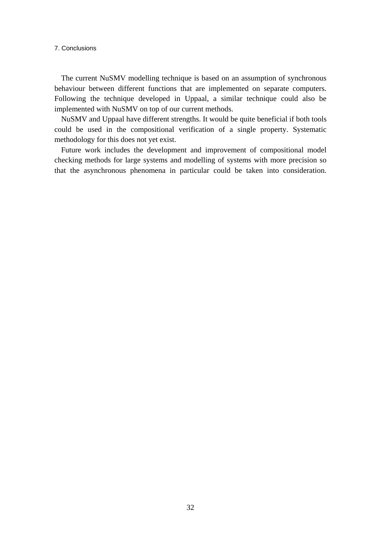7. Conclusions

The current NuSMV modelling technique is based on an assumption of synchronous behaviour between different functions that are implemented on separate computers. Following the technique developed in Uppaal, a similar technique could also be implemented with NuSMV on top of our current methods.

NuSMV and Uppaal have different strengths. It would be quite beneficial if both tools could be used in the compositional verification of a single property. Systematic methodology for this does not yet exist.

Future work includes the development and improvement of compositional model checking methods for large systems and modelling of systems with more precision so that the asynchronous phenomena in particular could be taken into consideration.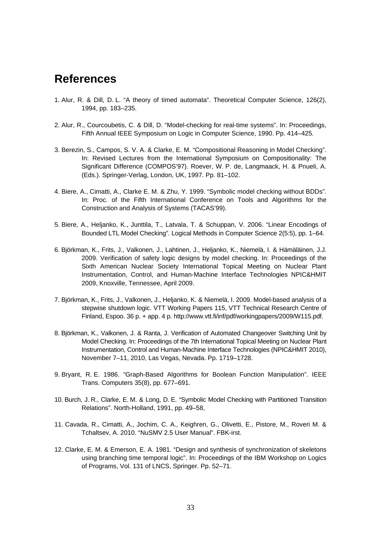# **References**

- 1. Alur, R. & Dill, D. L. "A theory of timed automata". Theoretical Computer Science, 126(2), 1994, pp. 183–235.
- 2. Alur, R., Courcoubetis, C. & Dill, D. "Model-checking for real-time systems". In: Proceedings, Fifth Annual IEEE Symposium on Logic in Computer Science, 1990. Pp. 414–425.
- 3. Berezin, S., Campos, S. V. A. & Clarke, E. M. "Compositional Reasoning in Model Checking". In: Revised Lectures from the International Symposium on Compositionality: The Significant Difference (COMPOS'97). Roever, W. P. de, Langmaack, H. & Pnueli, A. (Eds.). Springer-Verlag, London, UK, 1997. Pp. 81–102.
- 4. Biere, A., Cimatti, A., Clarke E. M. & Zhu, Y. 1999. "Symbolic model checking without BDDs". In: Proc. of the Fifth International Conference on Tools and Algorithms for the Construction and Analysis of Systems (TACAS'99).
- 5. Biere, A., Heljanko, K., Junttila, T., Latvala, T. & Schuppan, V. 2006. "Linear Encodings of Bounded LTL Model Checking". Logical Methods in Computer Science 2(5:5), pp. 1–64.
- 6. Björkman, K., Frits, J., Valkonen, J., Lahtinen, J., Heljanko, K., Niemelä, I. & Hämäläinen, J.J. 2009. Verification of safety logic designs by model checking. In: Proceedings of the Sixth American Nuclear Society International Topical Meeting on Nuclear Plant Instrumentation, Control, and Human-Machine Interface Technologies NPIC&HMIT 2009, Knoxville, Tennessee, April 2009.
- 7. Björkman, K., Frits, J., Valkonen, J., Heljanko, K. & Niemelä, I. 2009. Model-based analysis of a stepwise shutdown logic. VTT Working Papers 115, VTT Technical Research Centre of Finland, Espoo. 36 p. + app. 4 p. [http://www.vtt.fi/inf/pdf/workingpapers/2009/W115.pdf.](http://www.vtt.fi/inf/pdf/workingpapers/2009/W115.pdf)
- 8. Björkman, K., Valkonen, J. & Ranta, J. Verification of Automated Changeover Switching Unit by Model Checking. In: Proceedings of the 7th International Topical Meeting on Nuclear Plant Instrumentation, Control and Human-Machine Interface Technologies (NPIC&HMIT 2010), November 7–11, 2010, Las Vegas, Nevada. Pp. 1719–1728.
- 9. Bryant, R. E. 1986. "Graph-Based Algorithms for Boolean Function Manipulation". IEEE Trans. Computers 35(8), pp. 677–691.
- 10. Burch, J. R., Clarke, E. M. & Long, D. E. "Symbolic Model Checking with Partitioned Transition Relations". North-Holland, 1991, pp. 49–58,
- 11. Cavada, R., Cimatti, A., Jochim, C. A., Keighren, G., Olivetti, E., Pistore, M., Roveri M. & Tchaltsev, A. 2010. "NuSMV 2.5 User Manual". FBK-irst.
- 12. Clarke, E. M. & Emerson, E. A. 1981. "Design and synthesis of synchronization of skeletons using branching time temporal logic". In: Proceedings of the IBM Workshop on Logics of Programs, Vol. 131 of LNCS, Springer. Pp. 52–71.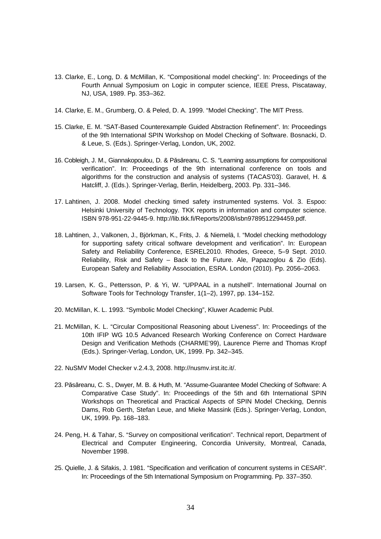- 13. Clarke, E., Long, D. & McMillan, K. "Compositional model checking". In: Proceedings of the Fourth Annual Symposium on Logic in computer science, IEEE Press, Piscataway, NJ, USA, 1989. Pp. 353–362.
- 14. Clarke, E. M., Grumberg, O. & Peled, D. A. 1999. "Model Checking". The MIT Press.
- 15. Clarke, E. M. "SAT-Based Counterexample Guided Abstraction Refinement". In: Proceedings of the 9th International SPIN Workshop on Model Checking of Software. Bosnacki, D. & Leue, S. (Eds.). Springer-Verlag, London, UK, 2002.
- 16. Cobleigh, J. M., Giannakopoulou, D. & Păsăreanu, C. S. "Learning assumptions for compositional verification". In: Proceedings of the 9th international conference on tools and algorithms for the construction and analysis of systems (TACAS'03). Garavel, H. & Hatcliff, J. (Eds.). Springer-Verlag, Berlin, Heidelberg, 2003. Pp. 331–346.
- 17. Lahtinen, J. 2008. Model checking timed safety instrumented systems. Vol. 3. Espoo: Helsinki University of Technology. TKK reports in information and computer science. ISBN 978-951-22-9445-9. [http://lib.tkk.fi/Reports/2008/isbn9789512294459.pdf.](http://lib.tkk.fi/Reports/2008/isbn9789512294459.pdf)
- 18. Lahtinen, J., Valkonen, J., Björkman, K., Frits, J. & Niemelä, I. "Model checking methodology for supporting safety critical software development and verification". In: European Safety and Reliability Conference, ESREL2010. Rhodes, Greece, 5–9 Sept. 2010. Reliability, Risk and Safety – Back to the Future. Ale, Papazoglou & Zio (Eds). European Safety and Reliability Association, ESRA. London (2010). Pp. 2056–2063.
- 19. Larsen, K. G., Pettersson, P. & Yi, W. "UPPAAL in a nutshell". International Journal on Software Tools for Technology Transfer, 1(1–2), 1997, pp. 134–152.
- 20. McMillan, K. L. 1993. "Symbolic Model Checking", Kluwer Academic Publ.
- 21. McMillan, K. L. "Circular Compositional Reasoning about Liveness". In: Proceedings of the 10th IFIP WG 10.5 Advanced Research Working Conference on Correct Hardware Design and Verification Methods (CHARME'99), Laurence Pierre and Thomas Kropf (Eds.). Springer-Verlag, London, UK, 1999. Pp. 342–345.
- 22. NuSMV Model Checker v.2.4.3, 2008. [http://nusmv.irst.itc.it/.](http://nusmv.irst.itc.it/)
- 23. Păsăreanu, C. S., Dwyer, M. B. & Huth, M. "Assume-Guarantee Model Checking of Software: A Comparative Case Study". In: Proceedings of the 5th and 6th International SPIN Workshops on Theoretical and Practical Aspects of SPIN Model Checking, Dennis Dams, Rob Gerth, Stefan Leue, and Mieke Massink (Eds.). Springer-Verlag, London, UK, 1999. Pp. 168–183.
- 24. Peng, H. & Tahar, S. "Survey on compositional verification". Technical report, Department of Electrical and Computer Engineering, Concordia University, Montreal, Canada, November 1998.
- 25. Quielle, J. & Sifakis, J. 1981. "Specification and verification of concurrent systems in CESAR". In: Proceedings of the 5th International Symposium on Programming. Pp. 337–350.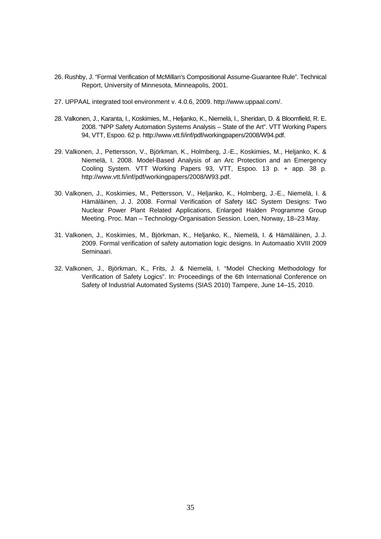- 26. Rushby, J. "Formal Verification of McMillan's Compositional Assume-Guarantee Rule". Technical Report, University of Minnesota, Minneapolis, 2001.
- 27. UPPAAL integrated tool environment v. 4.0.6, 2009. [http://www.uppaal.com/.](http://www.uppaal.com/)
- 28. Valkonen, J., Karanta, I., Koskimies, M., Heljanko, K., Niemelä, I., Sheridan, D. & Bloomfield, R. E. 2008. "NPP Safety Automation Systems Analysis – State of the Art". VTT Working Papers 94, VTT, Espoo. 62 p. [http://www.vtt.fi/inf/pdf/workingpapers/2008/W94.pdf.](http://www.vtt.fi/inf/pdf/workingpapers/2008/W94.pdf)
- 29. Valkonen, J., Pettersson, V., Björkman, K., Holmberg, J.-E., Koskimies, M., Heljanko, K. & Niemelä, I. 2008. Model-Based Analysis of an Arc Protection and an Emergency Cooling System. VTT Working Papers 93, VTT, Espoo. 13 p. + app. 38 p. [http://www.vtt.fi/inf/pdf/workingpapers/2008/W93.pdf.](http://www.vtt.fi/inf/pdf/workingpapers/2008/W93.pdf)
- 30. Valkonen, J., Koskimies, M., Pettersson, V., Heljanko, K., Holmberg, J.-E., Niemelä, I. & Hämäläinen, J. J. 2008. Formal Verification of Safety I&C System Designs: Two Nuclear Power Plant Related Applications, Enlarged Halden Programme Group Meeting. Proc. Man – Technology-Organisation Session. Loen, Norway, 18–23 May.
- 31. Valkonen, J., Koskimies, M., Björkman, K., Heljanko, K., Niemelä, I. & Hämäläinen, J. J. 2009. Formal verification of safety automation logic designs. In Automaatio XVIII 2009 Seminaari.
- 32. Valkonen, J., Björkman, K., Frits, J. & Niemelä, I. "Model Checking Methodology for Verification of Safety Logics". In: Proceedings of the 6th International Conference on Safety of Industrial Automated Systems (SIAS 2010) Tampere, June 14–15, 2010.